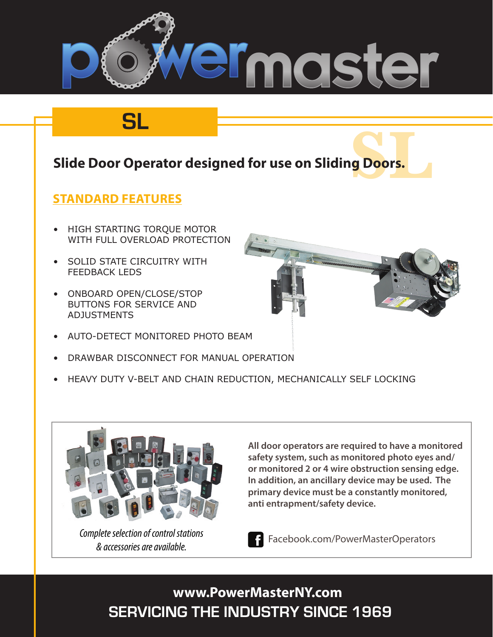

# **SL**

### **Slide Door Operator designed for use on Sliding Doors.**

### **STANDARD FEATURES**

- HIGH STARTING TORQUE MOTOR WITH FULL OVERLOAD PROTECTION
- SOLID STATE CIRCUITRY WITH FEEDBACK LEDS
- ONBOARD OPEN/CLOSE/STOP BUTTONS FOR SERVICE AND ADJUSTMENTS
- AUTO-DETECT MONITORED PHOTO BEAM
- DRAWBAR DISCONNECT FOR MANUAL OPERATION
- HEAVY DUTY V-BELT AND CHAIN REDUCTION, MECHANICALLY SELF LOCKING



*& accessories are available.*

**All door operators are required to have a monitored safety system, such as monitored photo eyes and/ or monitored 2 or 4 wire obstruction sensing edge. In addition, an ancillary device may be used. The primary device must be a constantly monitored, anti entrapment/safety device.**

Facebook.com/PowerMasterOperators *Complete selection of control stations* 

**SERVICING THE INDUSTRY SINCE 1969 www.PowerMasterNY.com**